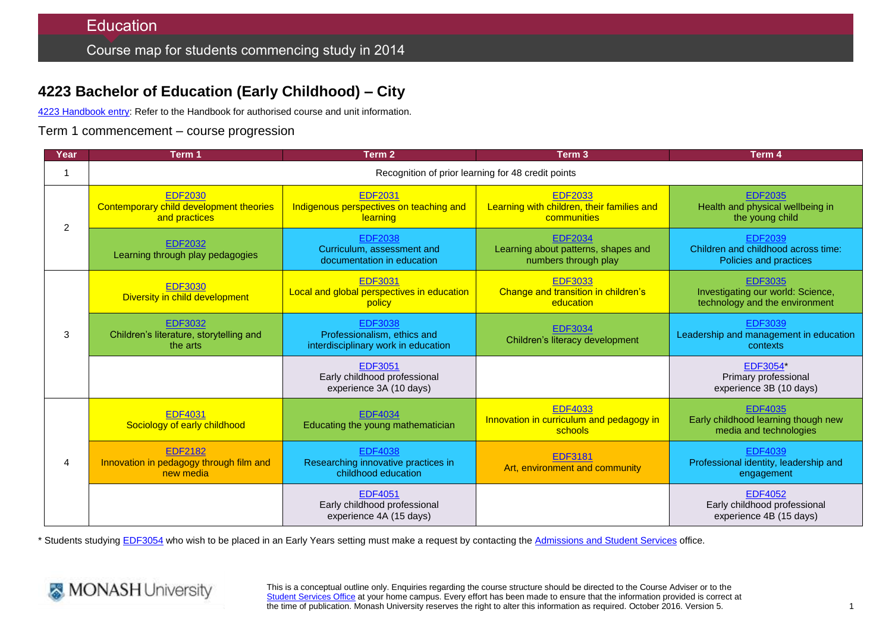# **4223 Bachelor of Education (Early Childhood) – City**

4223 [Handbook entry:](http://www.monash.edu.au/pubs/2014handbooks/courses/4223.html) Refer to the Handbook for authorised course and unit information.

Term 1 commencement – course progression

| Year           | Term 1                                                                     | Term <sub>2</sub>                                                                    | Term <sub>3</sub>                                                             | Term 4                                                                                |  |  |
|----------------|----------------------------------------------------------------------------|--------------------------------------------------------------------------------------|-------------------------------------------------------------------------------|---------------------------------------------------------------------------------------|--|--|
|                | Recognition of prior learning for 48 credit points                         |                                                                                      |                                                                               |                                                                                       |  |  |
| 2              | <b>EDF2030</b><br>Contemporary child development theories<br>and practices | <b>EDF2031</b><br>Indigenous perspectives on teaching and<br>learning                | <b>EDF2033</b><br>Learning with children, their families and<br>communities   | <b>EDF2035</b><br>Health and physical wellbeing in<br>the young child                 |  |  |
|                | <b>EDF2032</b><br>Learning through play pedagogies                         | <b>EDF2038</b><br>Curriculum, assessment and<br>documentation in education           | <b>EDF2034</b><br>Learning about patterns, shapes and<br>numbers through play | <b>EDF2039</b><br>Children and childhood across time:<br>Policies and practices       |  |  |
| 3              | <b>EDF3030</b><br>Diversity in child development                           | <b>EDF3031</b><br>Local and global perspectives in education<br>policy               | <b>EDF3033</b><br>Change and transition in children's<br>education            | <b>EDF3035</b><br>Investigating our world: Science,<br>technology and the environment |  |  |
|                | <b>EDF3032</b><br>Children's literature, storytelling and<br>the arts      | <b>EDF3038</b><br>Professionalism, ethics and<br>interdisciplinary work in education | <b>EDF3034</b><br>Children's literacy development                             | <b>EDF3039</b><br>Leadership and management in education<br>contexts                  |  |  |
|                |                                                                            | <b>EDF3051</b><br>Early childhood professional<br>experience 3A (10 days)            |                                                                               | <b>EDF3054*</b><br>Primary professional<br>experience 3B (10 days)                    |  |  |
| $\overline{4}$ | <b>EDF4031</b><br>Sociology of early childhood                             | <b>EDF4034</b><br>Educating the young mathematician                                  | <b>EDF4033</b><br>Innovation in curriculum and pedagogy in<br>schools         | <b>EDF4035</b><br>Early childhood learning though new<br>media and technologies       |  |  |
|                | <b>EDF2182</b><br>Innovation in pedagogy through film and<br>new media     | <b>EDF4038</b><br>Researching innovative practices in<br>childhood education         | <b>EDF3181</b><br>Art, environment and community                              | <b>EDF4039</b><br>Professional identity, leadership and<br>engagement                 |  |  |
|                |                                                                            | <b>EDF4051</b><br>Early childhood professional<br>experience 4A (15 days)            |                                                                               | <b>EDF4052</b><br>Early childhood professional<br>experience 4B (15 days)             |  |  |

\* Students studying [EDF3054](http://www.monash.edu.au/pubs/handbooks/units/EDF3054.html) who wish to be placed in an Early Years setting must make a request by contacting the [Admissions and Student Services](http://www.monash.edu/education/about/contact) office.



This is a conceptual outline only. Enquiries regarding the course structure should be directed to the Course Adviser or to the [Student Services Office](http://www.monash.edu/education/about/contact) at your home campus. Every effort has been made to ensure that the information provided is correct at the time of publication. Monash University reserves the right to alter this information as required. October 2016. Version 5.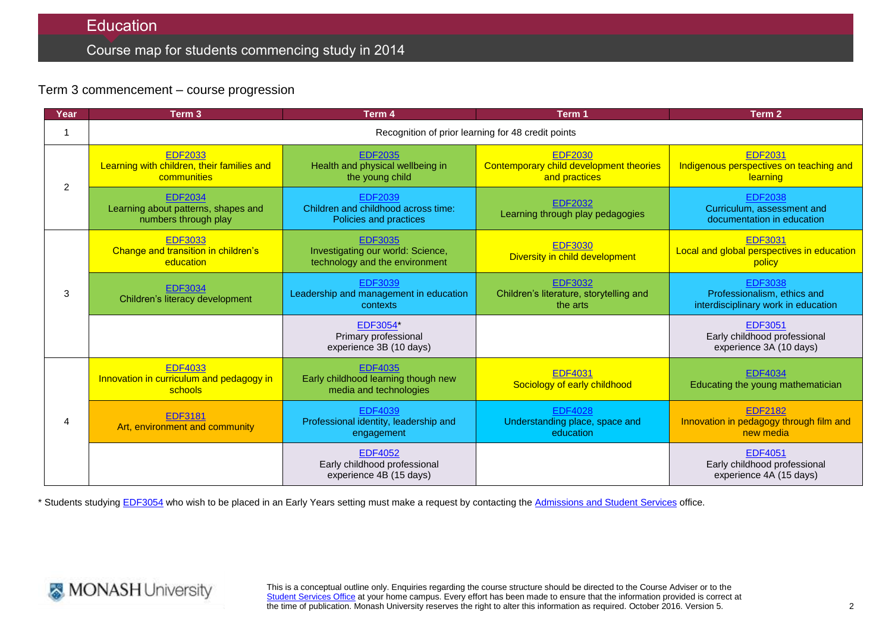## **Education**

## Course map for students commencing study in 2014

### Term 3 commencement – course progression

| Year | Term <sub>3</sub>                                                             | Term 4                                                                                | Term 1                                                                     | Term 2                                                                               |  |  |
|------|-------------------------------------------------------------------------------|---------------------------------------------------------------------------------------|----------------------------------------------------------------------------|--------------------------------------------------------------------------------------|--|--|
|      | Recognition of prior learning for 48 credit points                            |                                                                                       |                                                                            |                                                                                      |  |  |
| 2    | <b>EDF2033</b><br>Learning with children, their families and<br>communities   | <b>EDF2035</b><br>Health and physical wellbeing in<br>the young child                 | <b>EDF2030</b><br>Contemporary child development theories<br>and practices | <b>EDF2031</b><br>Indigenous perspectives on teaching and<br>learning                |  |  |
|      | <b>EDF2034</b><br>Learning about patterns, shapes and<br>numbers through play | <b>EDF2039</b><br>Children and childhood across time:<br>Policies and practices       | <b>EDF2032</b><br>Learning through play pedagogies                         | <b>EDF2038</b><br>Curriculum, assessment and<br>documentation in education           |  |  |
| 3    | <b>EDF3033</b><br>Change and transition in children's<br>education            | <b>EDF3035</b><br>Investigating our world: Science,<br>technology and the environment | <b>EDF3030</b><br>Diversity in child development                           | <b>EDF3031</b><br>Local and global perspectives in education<br>policy               |  |  |
|      | <b>EDF3034</b><br>Children's literacy development                             | <b>EDF3039</b><br>Leadership and management in education<br>contexts                  | <b>EDF3032</b><br>Children's literature, storytelling and<br>the arts      | <b>EDF3038</b><br>Professionalism, ethics and<br>interdisciplinary work in education |  |  |
|      |                                                                               | <b>EDF3054*</b><br>Primary professional<br>experience 3B (10 days)                    |                                                                            | <b>EDF3051</b><br>Early childhood professional<br>experience 3A (10 days)            |  |  |
| 4    | <b>EDF4033</b><br>Innovation in curriculum and pedagogy in<br>schools         | <b>EDF4035</b><br>Early childhood learning though new<br>media and technologies       | <b>EDF4031</b><br>Sociology of early childhood                             | <b>EDF4034</b><br>Educating the young mathematician                                  |  |  |
|      | <b>EDF3181</b><br>Art, environment and community                              | <b>EDF4039</b><br>Professional identity, leadership and<br>engagement                 | <b>EDF4028</b><br>Understanding place, space and<br>education              | <b>EDF2182</b><br>Innovation in pedagogy through film and<br>new media               |  |  |
|      |                                                                               | <b>EDF4052</b><br>Early childhood professional<br>experience 4B (15 days)             |                                                                            | <b>EDF4051</b><br>Early childhood professional<br>experience 4A (15 days)            |  |  |

\* Students studying [EDF3054](http://www.monash.edu.au/pubs/handbooks/units/EDF3054.html) who wish to be placed in an Early Years setting must make a request by contacting the [Admissions and Student Services](http://www.monash.edu/education/about/contact) office.



This is a conceptual outline only. Enquiries regarding the course structure should be directed to the Course Adviser or to the [Student Services Office](http://www.monash.edu/education/about/contact) at your home campus. Every effort has been made to ensure that the information provided is correct at the time of publication. Monash University reserves the right to alter this information as required. October 2016. Version 5.